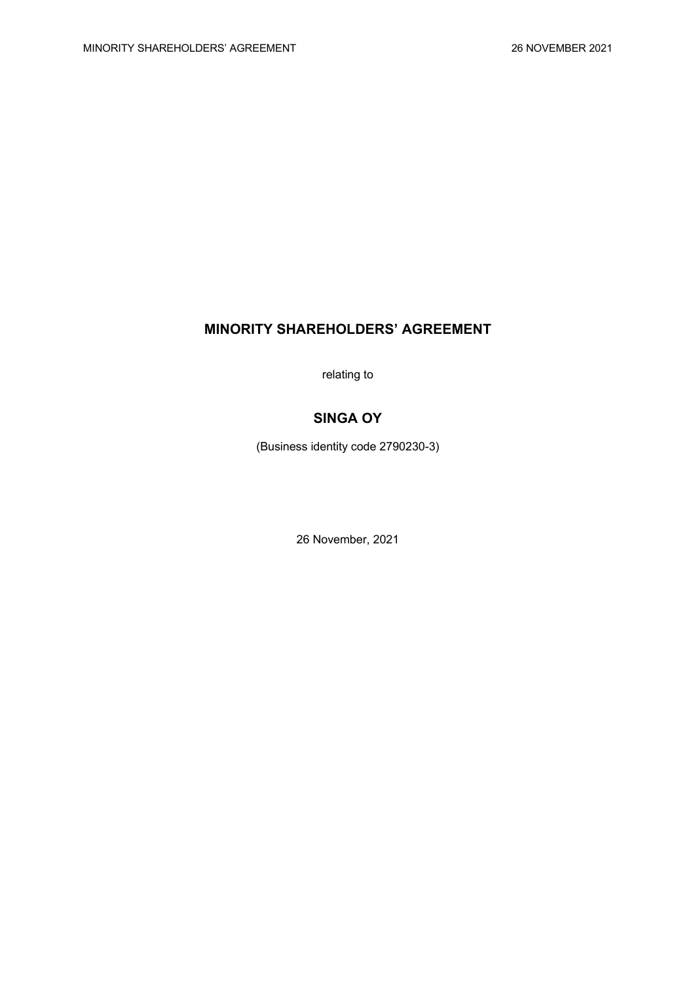# **MINORITY SHAREHOLDERS' AGREEMENT**

relating to

# **SINGA OY**

(Business identity code 2790230-3)

26 November, 2021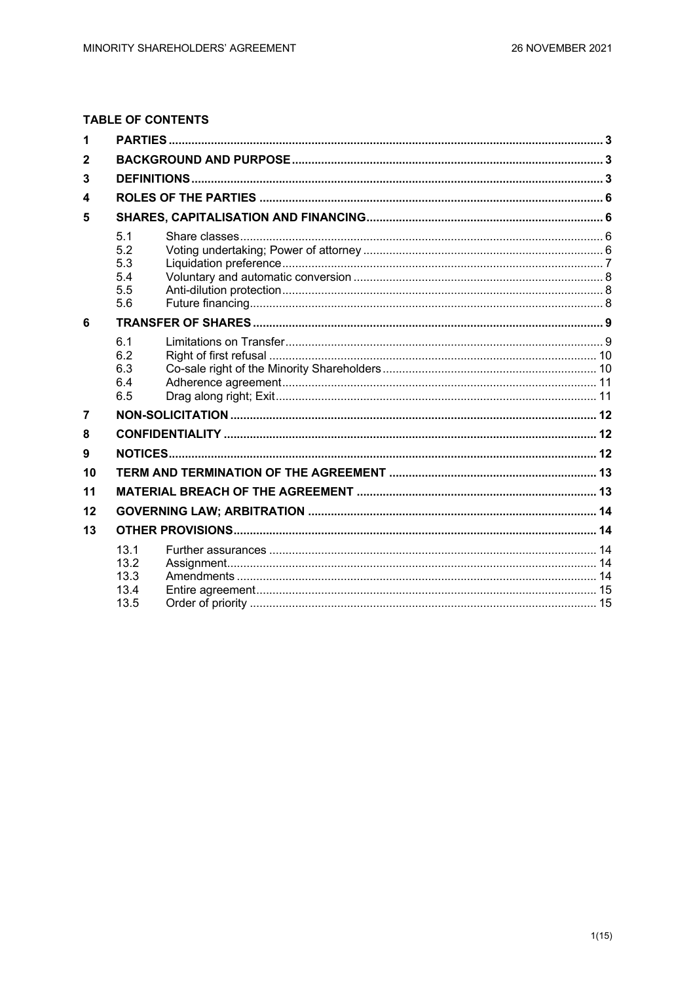# **TABLE OF CONTENTS**

| 1              |                                        |  |  |  |
|----------------|----------------------------------------|--|--|--|
| $\mathbf{2}$   |                                        |  |  |  |
| 3              |                                        |  |  |  |
| 4              |                                        |  |  |  |
| 5              |                                        |  |  |  |
|                | 5.1<br>5.2<br>5.3<br>5.4<br>5.5<br>5.6 |  |  |  |
| 6              |                                        |  |  |  |
|                | 6.1<br>6.2<br>6.3<br>6.4<br>6.5        |  |  |  |
| $\overline{7}$ |                                        |  |  |  |
| 8              |                                        |  |  |  |
| 9              |                                        |  |  |  |
| 10             |                                        |  |  |  |
| 11             |                                        |  |  |  |
| 12             |                                        |  |  |  |
| 13             |                                        |  |  |  |
|                | 13.1<br>13.2<br>13.3<br>13.4<br>13.5   |  |  |  |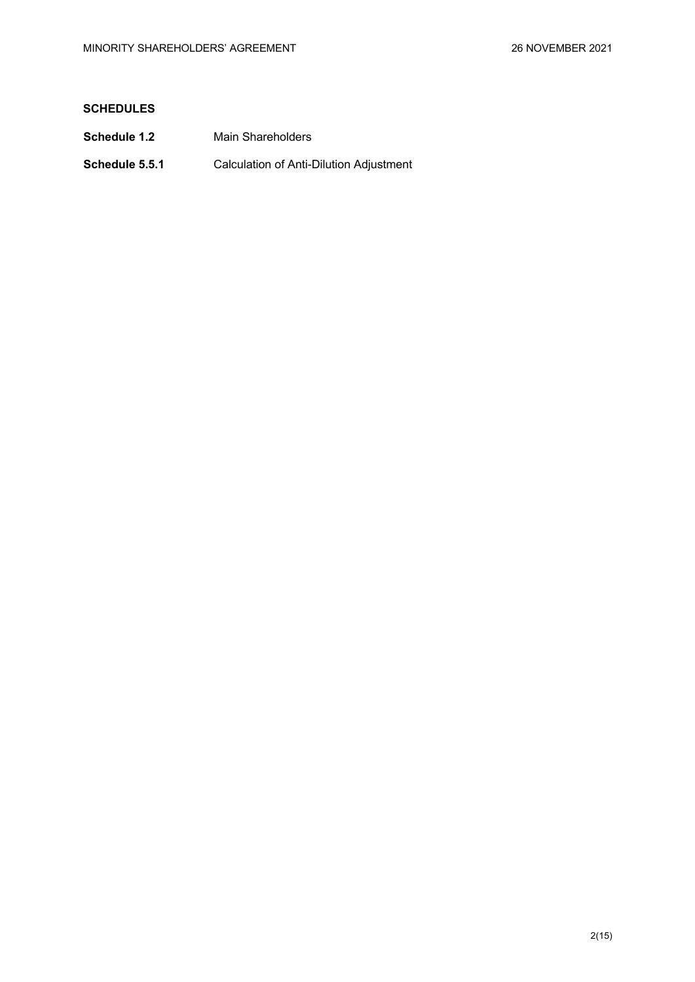# **SCHEDULES**

- **Schedule 1.2** Main Shareholders
- **Schedule 5.5.1** Calculation of Anti-Dilution Adjustment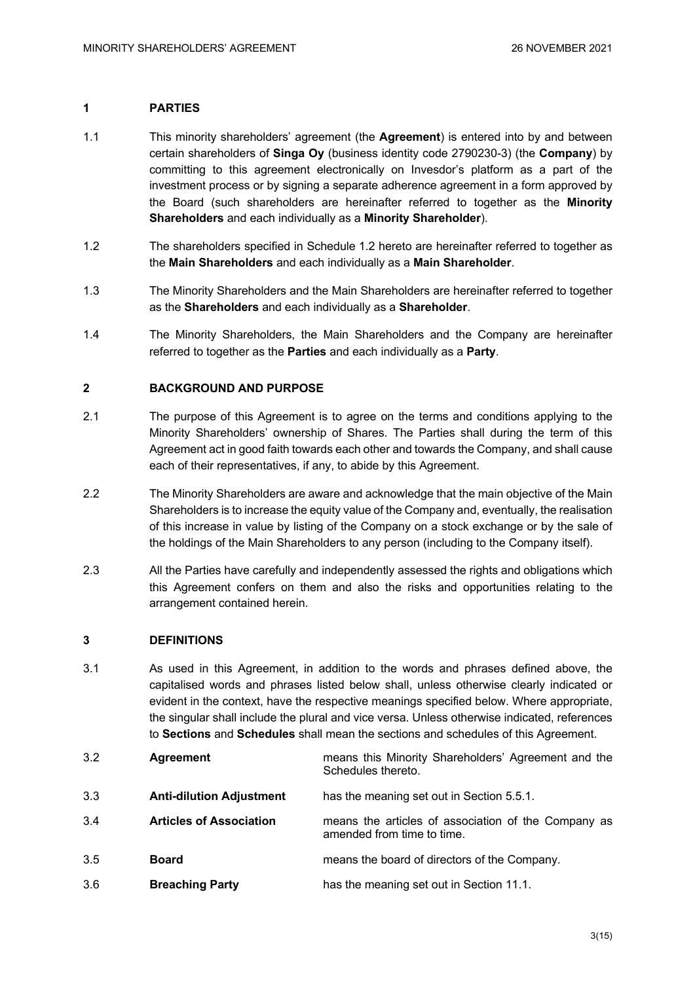# **1 PARTIES**

- 1.1 This minority shareholders' agreement (the **Agreement**) is entered into by and between certain shareholders of **Singa Oy** (business identity code 2790230-3) (the **Company**) by committing to this agreement electronically on Invesdor's platform as a part of the investment process or by signing a separate adherence agreement in a form approved by the Board (such shareholders are hereinafter referred to together as the **Minority Shareholders** and each individually as a **Minority Shareholder**).
- 1.2 The shareholders specified in Schedule 1.2 hereto are hereinafter referred to together as the **Main Shareholders** and each individually as a **Main Shareholder**.
- 1.3 The Minority Shareholders and the Main Shareholders are hereinafter referred to together as the **Shareholders** and each individually as a **Shareholder**.
- 1.4 The Minority Shareholders, the Main Shareholders and the Company are hereinafter referred to together as the **Parties** and each individually as a **Party**.

# **2 BACKGROUND AND PURPOSE**

- 2.1 The purpose of this Agreement is to agree on the terms and conditions applying to the Minority Shareholders' ownership of Shares. The Parties shall during the term of this Agreement act in good faith towards each other and towards the Company, and shall cause each of their representatives, if any, to abide by this Agreement.
- 2.2 The Minority Shareholders are aware and acknowledge that the main objective of the Main Shareholders is to increase the equity value of the Company and, eventually, the realisation of this increase in value by listing of the Company on a stock exchange or by the sale of the holdings of the Main Shareholders to any person (including to the Company itself).
- 2.3 All the Parties have carefully and independently assessed the rights and obligations which this Agreement confers on them and also the risks and opportunities relating to the arrangement contained herein.

# **3 DEFINITIONS**

3.1 As used in this Agreement, in addition to the words and phrases defined above, the capitalised words and phrases listed below shall, unless otherwise clearly indicated or evident in the context, have the respective meanings specified below. Where appropriate, the singular shall include the plural and vice versa. Unless otherwise indicated, references to **Sections** and **Schedules** shall mean the sections and schedules of this Agreement.

| 3.2 | <b>Agreement</b>                | means this Minority Shareholders' Agreement and the<br>Schedules thereto.         |
|-----|---------------------------------|-----------------------------------------------------------------------------------|
| 3.3 | <b>Anti-dilution Adjustment</b> | has the meaning set out in Section 5.5.1.                                         |
| 3.4 | <b>Articles of Association</b>  | means the articles of association of the Company as<br>amended from time to time. |
| 3.5 | <b>Board</b>                    | means the board of directors of the Company.                                      |
| 3.6 | <b>Breaching Party</b>          | has the meaning set out in Section 11.1.                                          |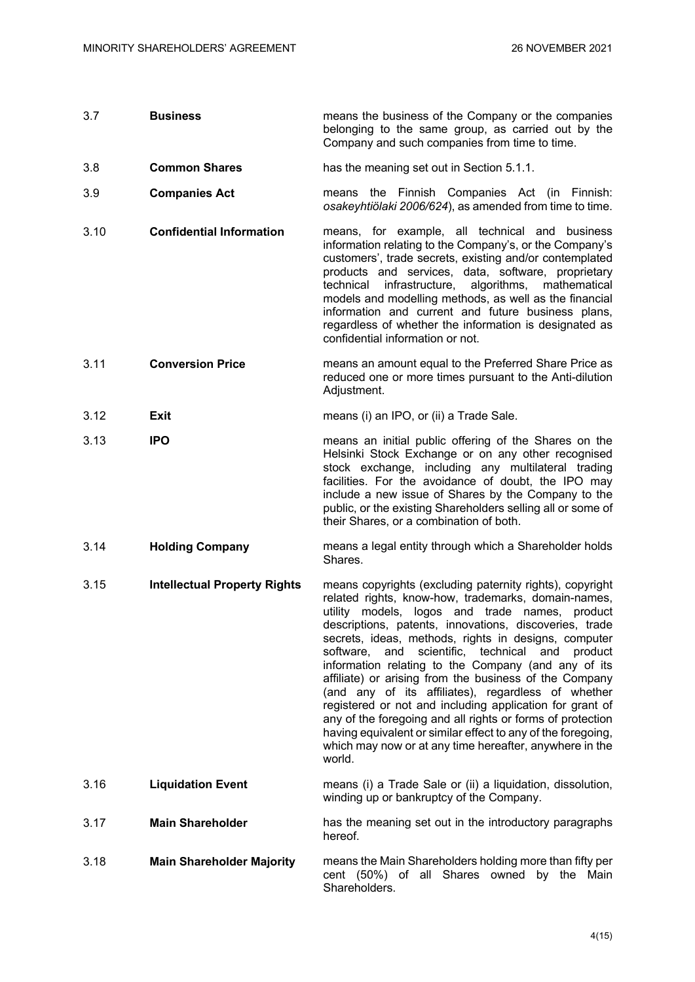| 3.7  | <b>Business</b>                     | means the business of the Company or the companies<br>belonging to the same group, as carried out by the<br>Company and such companies from time to time.                                                                                                                                                                                                                                                                                                                                                                                                                                                                                                                                                                                                                                   |
|------|-------------------------------------|---------------------------------------------------------------------------------------------------------------------------------------------------------------------------------------------------------------------------------------------------------------------------------------------------------------------------------------------------------------------------------------------------------------------------------------------------------------------------------------------------------------------------------------------------------------------------------------------------------------------------------------------------------------------------------------------------------------------------------------------------------------------------------------------|
| 3.8  | <b>Common Shares</b>                | has the meaning set out in Section 5.1.1.                                                                                                                                                                                                                                                                                                                                                                                                                                                                                                                                                                                                                                                                                                                                                   |
| 3.9  | <b>Companies Act</b>                | means the Finnish Companies Act (in Finnish:<br>osakeyhtiölaki 2006/624), as amended from time to time.                                                                                                                                                                                                                                                                                                                                                                                                                                                                                                                                                                                                                                                                                     |
| 3.10 | <b>Confidential Information</b>     | means, for example, all technical and business<br>information relating to the Company's, or the Company's<br>customers', trade secrets, existing and/or contemplated<br>products and services, data, software, proprietary<br>infrastructure, algorithms, mathematical<br>technical<br>models and modelling methods, as well as the financial<br>information and current and future business plans,<br>regardless of whether the information is designated as<br>confidential information or not.                                                                                                                                                                                                                                                                                           |
| 3.11 | <b>Conversion Price</b>             | means an amount equal to the Preferred Share Price as<br>reduced one or more times pursuant to the Anti-dilution<br>Adjustment.                                                                                                                                                                                                                                                                                                                                                                                                                                                                                                                                                                                                                                                             |
| 3.12 | <b>Exit</b>                         | means (i) an IPO, or (ii) a Trade Sale.                                                                                                                                                                                                                                                                                                                                                                                                                                                                                                                                                                                                                                                                                                                                                     |
| 3.13 | <b>IPO</b>                          | means an initial public offering of the Shares on the<br>Helsinki Stock Exchange or on any other recognised<br>stock exchange, including any multilateral trading<br>facilities. For the avoidance of doubt, the IPO may<br>include a new issue of Shares by the Company to the<br>public, or the existing Shareholders selling all or some of<br>their Shares, or a combination of both.                                                                                                                                                                                                                                                                                                                                                                                                   |
| 3.14 | <b>Holding Company</b>              | means a legal entity through which a Shareholder holds<br>Shares.                                                                                                                                                                                                                                                                                                                                                                                                                                                                                                                                                                                                                                                                                                                           |
| 3.15 | <b>Intellectual Property Rights</b> | means copyrights (excluding paternity rights), copyright<br>related rights, know-how, trademarks, domain-names,<br>utility models, logos and trade names, product<br>descriptions, patents, innovations, discoveries, trade<br>secrets, ideas, methods, rights in designs, computer<br>technical<br>scientific,<br>product<br>software,<br>and<br>and<br>information relating to the Company (and any of its<br>affiliate) or arising from the business of the Company<br>(and any of its affiliates), regardless of whether<br>registered or not and including application for grant of<br>any of the foregoing and all rights or forms of protection<br>having equivalent or similar effect to any of the foregoing,<br>which may now or at any time hereafter, anywhere in the<br>world. |
| 3.16 | <b>Liquidation Event</b>            | means (i) a Trade Sale or (ii) a liquidation, dissolution,<br>winding up or bankruptcy of the Company.                                                                                                                                                                                                                                                                                                                                                                                                                                                                                                                                                                                                                                                                                      |
| 3.17 | <b>Main Shareholder</b>             | has the meaning set out in the introductory paragraphs<br>hereof.                                                                                                                                                                                                                                                                                                                                                                                                                                                                                                                                                                                                                                                                                                                           |
| 3.18 | <b>Main Shareholder Majority</b>    | means the Main Shareholders holding more than fifty per<br>cent (50%) of all Shares owned by the Main<br>Shareholders.                                                                                                                                                                                                                                                                                                                                                                                                                                                                                                                                                                                                                                                                      |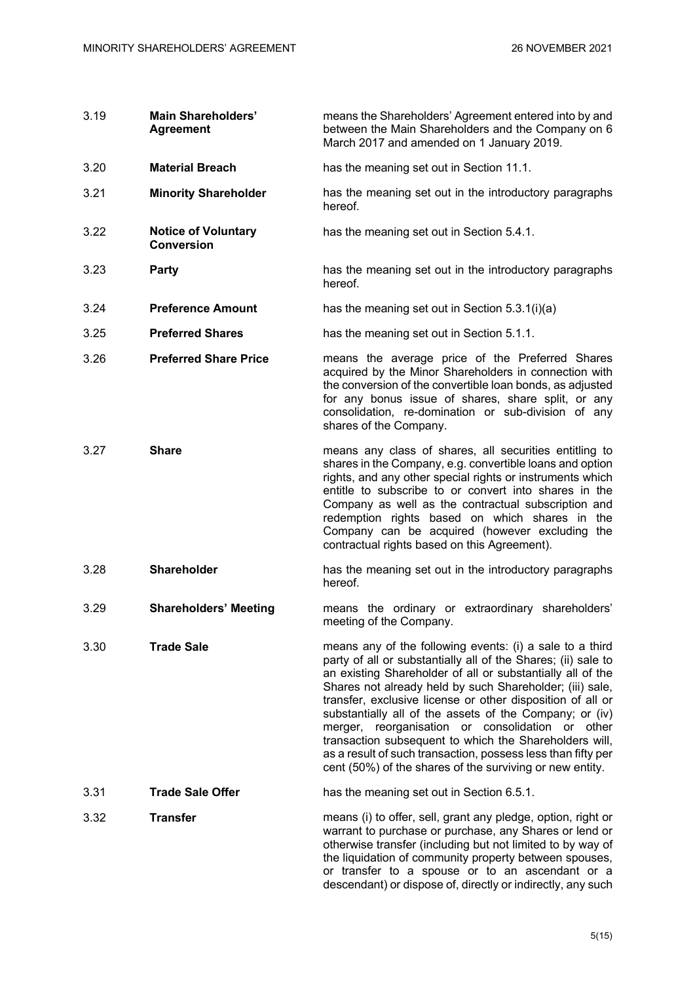| 3.19 | <b>Main Shareholders'</b><br><b>Agreement</b>   | means the Shareholders' Agreement entered into by and<br>between the Main Shareholders and the Company on 6<br>March 2017 and amended on 1 January 2019.                                                                                                                                                                                                                                                                                                                                                                                                                                                               |
|------|-------------------------------------------------|------------------------------------------------------------------------------------------------------------------------------------------------------------------------------------------------------------------------------------------------------------------------------------------------------------------------------------------------------------------------------------------------------------------------------------------------------------------------------------------------------------------------------------------------------------------------------------------------------------------------|
| 3.20 | <b>Material Breach</b>                          | has the meaning set out in Section 11.1.                                                                                                                                                                                                                                                                                                                                                                                                                                                                                                                                                                               |
| 3.21 | <b>Minority Shareholder</b>                     | has the meaning set out in the introductory paragraphs<br>hereof.                                                                                                                                                                                                                                                                                                                                                                                                                                                                                                                                                      |
| 3.22 | <b>Notice of Voluntary</b><br><b>Conversion</b> | has the meaning set out in Section 5.4.1.                                                                                                                                                                                                                                                                                                                                                                                                                                                                                                                                                                              |
| 3.23 | Party                                           | has the meaning set out in the introductory paragraphs<br>hereof.                                                                                                                                                                                                                                                                                                                                                                                                                                                                                                                                                      |
| 3.24 | <b>Preference Amount</b>                        | has the meaning set out in Section 5.3.1(i)(a)                                                                                                                                                                                                                                                                                                                                                                                                                                                                                                                                                                         |
| 3.25 | <b>Preferred Shares</b>                         | has the meaning set out in Section 5.1.1.                                                                                                                                                                                                                                                                                                                                                                                                                                                                                                                                                                              |
| 3.26 | <b>Preferred Share Price</b>                    | means the average price of the Preferred Shares<br>acquired by the Minor Shareholders in connection with<br>the conversion of the convertible loan bonds, as adjusted<br>for any bonus issue of shares, share split, or any<br>consolidation, re-domination or sub-division of any<br>shares of the Company.                                                                                                                                                                                                                                                                                                           |
| 3.27 | <b>Share</b>                                    | means any class of shares, all securities entitling to<br>shares in the Company, e.g. convertible loans and option<br>rights, and any other special rights or instruments which<br>entitle to subscribe to or convert into shares in the<br>Company as well as the contractual subscription and<br>redemption rights based on which shares in the<br>Company can be acquired (however excluding the<br>contractual rights based on this Agreement).                                                                                                                                                                    |
| 3.28 | <b>Shareholder</b>                              | has the meaning set out in the introductory paragraphs<br>hereof.                                                                                                                                                                                                                                                                                                                                                                                                                                                                                                                                                      |
| 3.29 | <b>Shareholders' Meeting</b>                    | means the ordinary or extraordinary shareholders'<br>meeting of the Company.                                                                                                                                                                                                                                                                                                                                                                                                                                                                                                                                           |
| 3.30 | <b>Trade Sale</b>                               | means any of the following events: (i) a sale to a third<br>party of all or substantially all of the Shares; (ii) sale to<br>an existing Shareholder of all or substantially all of the<br>Shares not already held by such Shareholder; (iii) sale,<br>transfer, exclusive license or other disposition of all or<br>substantially all of the assets of the Company; or (iv)<br>merger, reorganisation or consolidation or other<br>transaction subsequent to which the Shareholders will,<br>as a result of such transaction, possess less than fifty per<br>cent (50%) of the shares of the surviving or new entity. |
| 3.31 | <b>Trade Sale Offer</b>                         | has the meaning set out in Section 6.5.1.                                                                                                                                                                                                                                                                                                                                                                                                                                                                                                                                                                              |
| 3.32 | <b>Transfer</b>                                 | means (i) to offer, sell, grant any pledge, option, right or<br>warrant to purchase or purchase, any Shares or lend or<br>otherwise transfer (including but not limited to by way of<br>the liquidation of community property between spouses,<br>or transfer to a spouse or to an ascendant or a<br>descendant) or dispose of, directly or indirectly, any such                                                                                                                                                                                                                                                       |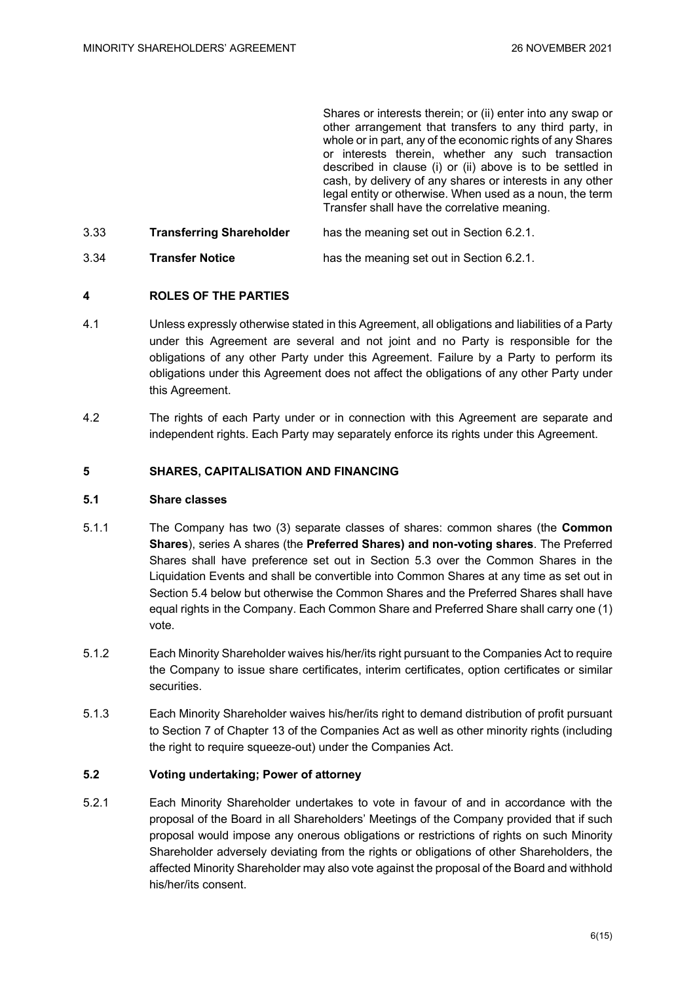Shares or interests therein; or (ii) enter into any swap or other arrangement that transfers to any third party, in whole or in part, any of the economic rights of any Shares or interests therein, whether any such transaction described in clause (i) or (ii) above is to be settled in cash, by delivery of any shares or interests in any other legal entity or otherwise. When used as a noun, the term Transfer shall have the correlative meaning.

3.33 **Transferring Shareholder** has the meaning set out in Section 6.2.1. 3.34 **Transfer Notice** has the meaning set out in Section 6.2.1.

# **4 ROLES OF THE PARTIES**

- 4.1 Unless expressly otherwise stated in this Agreement, all obligations and liabilities of a Party under this Agreement are several and not joint and no Party is responsible for the obligations of any other Party under this Agreement. Failure by a Party to perform its obligations under this Agreement does not affect the obligations of any other Party under this Agreement.
- 4.2 The rights of each Party under or in connection with this Agreement are separate and independent rights. Each Party may separately enforce its rights under this Agreement.

# **5 SHARES, CAPITALISATION AND FINANCING**

# **5.1 Share classes**

- 5.1.1 The Company has two (3) separate classes of shares: common shares (the **Common Shares**), series A shares (the **Preferred Shares) and non-voting shares**. The Preferred Shares shall have preference set out in Section 5.3 over the Common Shares in the Liquidation Events and shall be convertible into Common Shares at any time as set out in Section 5.4 below but otherwise the Common Shares and the Preferred Shares shall have equal rights in the Company. Each Common Share and Preferred Share shall carry one (1) vote.
- 5.1.2 Each Minority Shareholder waives his/her/its right pursuant to the Companies Act to require the Company to issue share certificates, interim certificates, option certificates or similar securities.
- 5.1.3 Each Minority Shareholder waives his/her/its right to demand distribution of profit pursuant to Section 7 of Chapter 13 of the Companies Act as well as other minority rights (including the right to require squeeze-out) under the Companies Act.

#### **5.2 Voting undertaking; Power of attorney**

5.2.1 Each Minority Shareholder undertakes to vote in favour of and in accordance with the proposal of the Board in all Shareholders' Meetings of the Company provided that if such proposal would impose any onerous obligations or restrictions of rights on such Minority Shareholder adversely deviating from the rights or obligations of other Shareholders, the affected Minority Shareholder may also vote against the proposal of the Board and withhold his/her/its consent.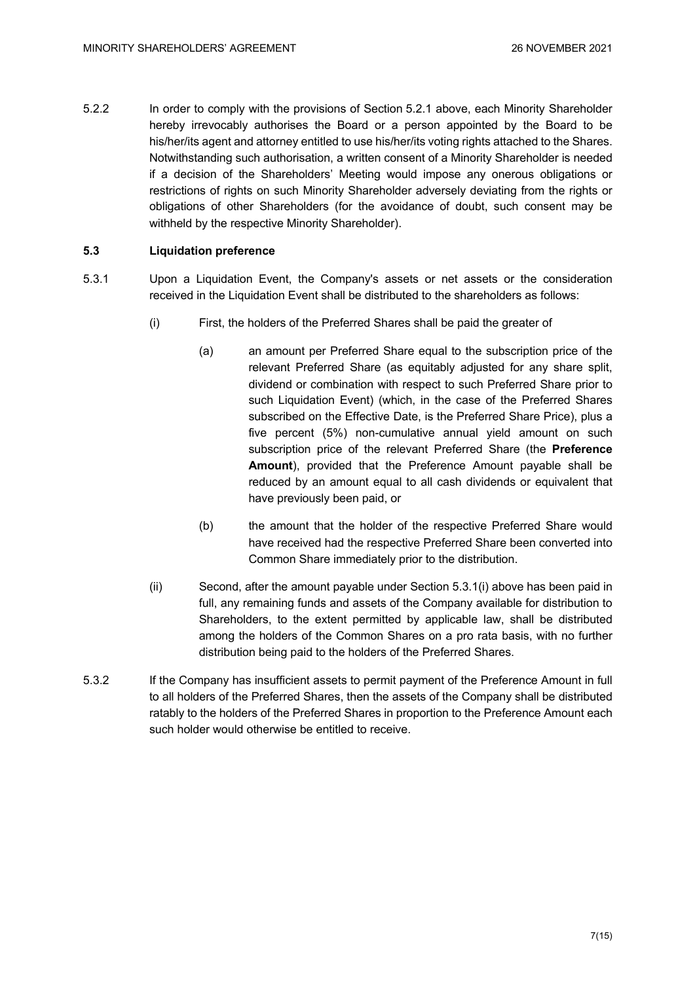5.2.2 In order to comply with the provisions of Section 5.2.1 above, each Minority Shareholder hereby irrevocably authorises the Board or a person appointed by the Board to be his/her/its agent and attorney entitled to use his/her/its voting rights attached to the Shares. Notwithstanding such authorisation, a written consent of a Minority Shareholder is needed if a decision of the Shareholders' Meeting would impose any onerous obligations or restrictions of rights on such Minority Shareholder adversely deviating from the rights or obligations of other Shareholders (for the avoidance of doubt, such consent may be withheld by the respective Minority Shareholder).

# **5.3 Liquidation preference**

- 5.3.1 Upon a Liquidation Event, the Company's assets or net assets or the consideration received in the Liquidation Event shall be distributed to the shareholders as follows:
	- (i) First, the holders of the Preferred Shares shall be paid the greater of
		- (a) an amount per Preferred Share equal to the subscription price of the relevant Preferred Share (as equitably adjusted for any share split, dividend or combination with respect to such Preferred Share prior to such Liquidation Event) (which, in the case of the Preferred Shares subscribed on the Effective Date, is the Preferred Share Price), plus a five percent (5%) non-cumulative annual yield amount on such subscription price of the relevant Preferred Share (the **Preference Amount**), provided that the Preference Amount payable shall be reduced by an amount equal to all cash dividends or equivalent that have previously been paid, or
		- (b) the amount that the holder of the respective Preferred Share would have received had the respective Preferred Share been converted into Common Share immediately prior to the distribution.
	- (ii) Second, after the amount payable under Section 5.3.1(i) above has been paid in full, any remaining funds and assets of the Company available for distribution to Shareholders, to the extent permitted by applicable law, shall be distributed among the holders of the Common Shares on a pro rata basis, with no further distribution being paid to the holders of the Preferred Shares.
- 5.3.2 If the Company has insufficient assets to permit payment of the Preference Amount in full to all holders of the Preferred Shares, then the assets of the Company shall be distributed ratably to the holders of the Preferred Shares in proportion to the Preference Amount each such holder would otherwise be entitled to receive.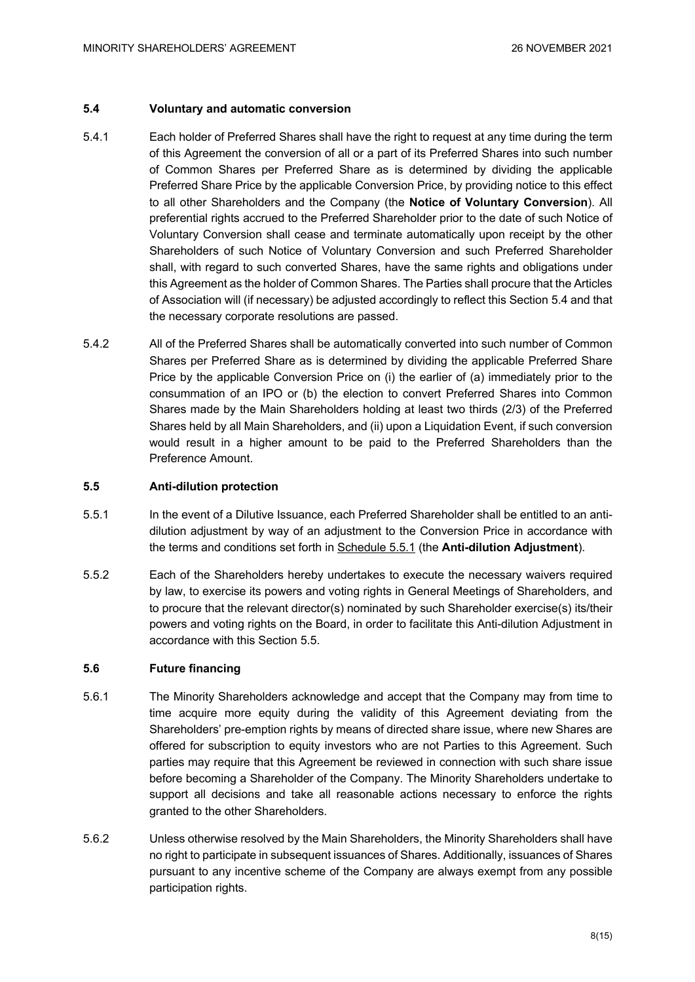# **5.4 Voluntary and automatic conversion**

- 5.4.1 Each holder of Preferred Shares shall have the right to request at any time during the term of this Agreement the conversion of all or a part of its Preferred Shares into such number of Common Shares per Preferred Share as is determined by dividing the applicable Preferred Share Price by the applicable Conversion Price, by providing notice to this effect to all other Shareholders and the Company (the **Notice of Voluntary Conversion**). All preferential rights accrued to the Preferred Shareholder prior to the date of such Notice of Voluntary Conversion shall cease and terminate automatically upon receipt by the other Shareholders of such Notice of Voluntary Conversion and such Preferred Shareholder shall, with regard to such converted Shares, have the same rights and obligations under this Agreement as the holder of Common Shares. The Parties shall procure that the Articles of Association will (if necessary) be adjusted accordingly to reflect this Section 5.4 and that the necessary corporate resolutions are passed.
- 5.4.2 All of the Preferred Shares shall be automatically converted into such number of Common Shares per Preferred Share as is determined by dividing the applicable Preferred Share Price by the applicable Conversion Price on (i) the earlier of (a) immediately prior to the consummation of an IPO or (b) the election to convert Preferred Shares into Common Shares made by the Main Shareholders holding at least two thirds (2/3) of the Preferred Shares held by all Main Shareholders, and (ii) upon a Liquidation Event, if such conversion would result in a higher amount to be paid to the Preferred Shareholders than the Preference Amount.

#### **5.5 Anti-dilution protection**

- 5.5.1 In the event of a Dilutive Issuance, each Preferred Shareholder shall be entitled to an antidilution adjustment by way of an adjustment to the Conversion Price in accordance with the terms and conditions set forth in Schedule 5.5.1 (the **Anti-dilution Adjustment**).
- 5.5.2 Each of the Shareholders hereby undertakes to execute the necessary waivers required by law, to exercise its powers and voting rights in General Meetings of Shareholders, and to procure that the relevant director(s) nominated by such Shareholder exercise(s) its/their powers and voting rights on the Board, in order to facilitate this Anti-dilution Adjustment in accordance with this Section 5.5.

# **5.6 Future financing**

- 5.6.1 The Minority Shareholders acknowledge and accept that the Company may from time to time acquire more equity during the validity of this Agreement deviating from the Shareholders' pre-emption rights by means of directed share issue, where new Shares are offered for subscription to equity investors who are not Parties to this Agreement. Such parties may require that this Agreement be reviewed in connection with such share issue before becoming a Shareholder of the Company. The Minority Shareholders undertake to support all decisions and take all reasonable actions necessary to enforce the rights granted to the other Shareholders.
- 5.6.2 Unless otherwise resolved by the Main Shareholders, the Minority Shareholders shall have no right to participate in subsequent issuances of Shares. Additionally, issuances of Shares pursuant to any incentive scheme of the Company are always exempt from any possible participation rights.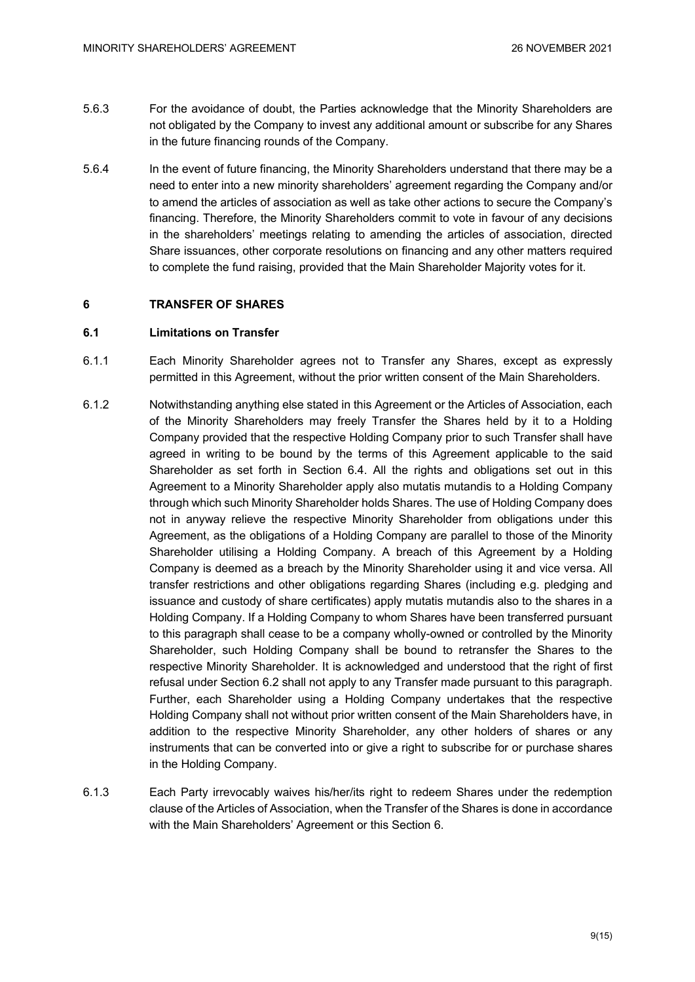- 5.6.3 For the avoidance of doubt, the Parties acknowledge that the Minority Shareholders are not obligated by the Company to invest any additional amount or subscribe for any Shares in the future financing rounds of the Company.
- 5.6.4 In the event of future financing, the Minority Shareholders understand that there may be a need to enter into a new minority shareholders' agreement regarding the Company and/or to amend the articles of association as well as take other actions to secure the Company's financing. Therefore, the Minority Shareholders commit to vote in favour of any decisions in the shareholders' meetings relating to amending the articles of association, directed Share issuances, other corporate resolutions on financing and any other matters required to complete the fund raising, provided that the Main Shareholder Majority votes for it.

# **6 TRANSFER OF SHARES**

# **6.1 Limitations on Transfer**

- 6.1.1 Each Minority Shareholder agrees not to Transfer any Shares, except as expressly permitted in this Agreement, without the prior written consent of the Main Shareholders.
- 6.1.2 Notwithstanding anything else stated in this Agreement or the Articles of Association, each of the Minority Shareholders may freely Transfer the Shares held by it to a Holding Company provided that the respective Holding Company prior to such Transfer shall have agreed in writing to be bound by the terms of this Agreement applicable to the said Shareholder as set forth in Section 6.4. All the rights and obligations set out in this Agreement to a Minority Shareholder apply also mutatis mutandis to a Holding Company through which such Minority Shareholder holds Shares. The use of Holding Company does not in anyway relieve the respective Minority Shareholder from obligations under this Agreement, as the obligations of a Holding Company are parallel to those of the Minority Shareholder utilising a Holding Company. A breach of this Agreement by a Holding Company is deemed as a breach by the Minority Shareholder using it and vice versa. All transfer restrictions and other obligations regarding Shares (including e.g. pledging and issuance and custody of share certificates) apply mutatis mutandis also to the shares in a Holding Company. If a Holding Company to whom Shares have been transferred pursuant to this paragraph shall cease to be a company wholly-owned or controlled by the Minority Shareholder, such Holding Company shall be bound to retransfer the Shares to the respective Minority Shareholder. It is acknowledged and understood that the right of first refusal under Section 6.2 shall not apply to any Transfer made pursuant to this paragraph. Further, each Shareholder using a Holding Company undertakes that the respective Holding Company shall not without prior written consent of the Main Shareholders have, in addition to the respective Minority Shareholder, any other holders of shares or any instruments that can be converted into or give a right to subscribe for or purchase shares in the Holding Company.
- 6.1.3 Each Party irrevocably waives his/her/its right to redeem Shares under the redemption clause of the Articles of Association, when the Transfer of the Shares is done in accordance with the Main Shareholders' Agreement or this Section 6.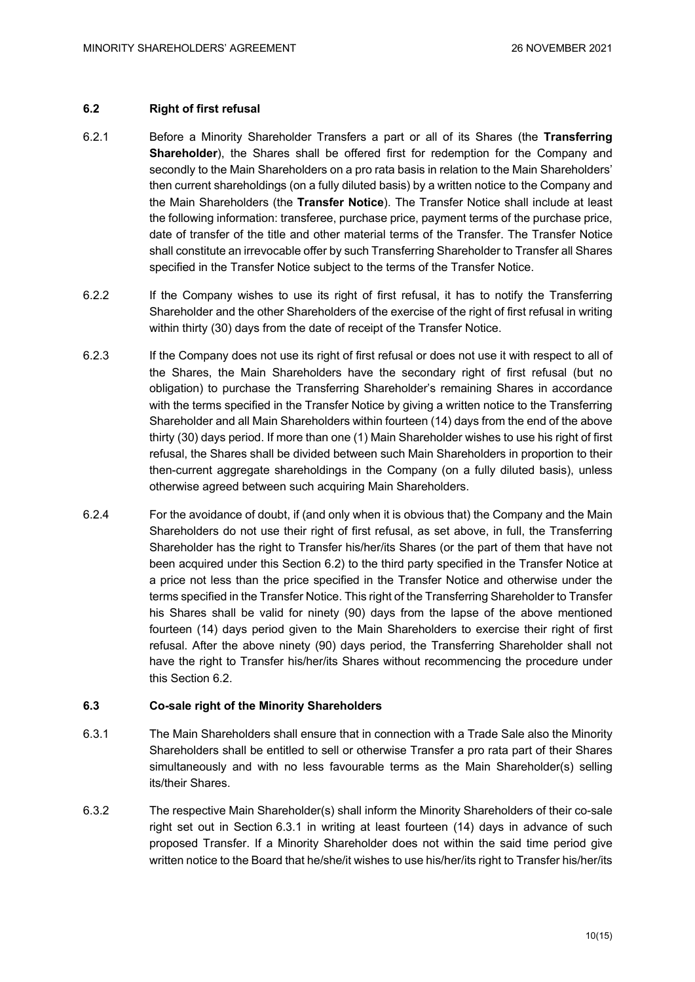# **6.2 Right of first refusal**

- 6.2.1 Before a Minority Shareholder Transfers a part or all of its Shares (the **Transferring Shareholder**), the Shares shall be offered first for redemption for the Company and secondly to the Main Shareholders on a pro rata basis in relation to the Main Shareholders' then current shareholdings (on a fully diluted basis) by a written notice to the Company and the Main Shareholders (the **Transfer Notice**). The Transfer Notice shall include at least the following information: transferee, purchase price, payment terms of the purchase price, date of transfer of the title and other material terms of the Transfer. The Transfer Notice shall constitute an irrevocable offer by such Transferring Shareholder to Transfer all Shares specified in the Transfer Notice subject to the terms of the Transfer Notice.
- 6.2.2 If the Company wishes to use its right of first refusal, it has to notify the Transferring Shareholder and the other Shareholders of the exercise of the right of first refusal in writing within thirty (30) days from the date of receipt of the Transfer Notice.
- 6.2.3 If the Company does not use its right of first refusal or does not use it with respect to all of the Shares, the Main Shareholders have the secondary right of first refusal (but no obligation) to purchase the Transferring Shareholder's remaining Shares in accordance with the terms specified in the Transfer Notice by giving a written notice to the Transferring Shareholder and all Main Shareholders within fourteen (14) days from the end of the above thirty (30) days period. If more than one (1) Main Shareholder wishes to use his right of first refusal, the Shares shall be divided between such Main Shareholders in proportion to their then-current aggregate shareholdings in the Company (on a fully diluted basis), unless otherwise agreed between such acquiring Main Shareholders.
- 6.2.4 For the avoidance of doubt, if (and only when it is obvious that) the Company and the Main Shareholders do not use their right of first refusal, as set above, in full, the Transferring Shareholder has the right to Transfer his/her/its Shares (or the part of them that have not been acquired under this Section 6.2) to the third party specified in the Transfer Notice at a price not less than the price specified in the Transfer Notice and otherwise under the terms specified in the Transfer Notice. This right of the Transferring Shareholder to Transfer his Shares shall be valid for ninety (90) days from the lapse of the above mentioned fourteen (14) days period given to the Main Shareholders to exercise their right of first refusal. After the above ninety (90) days period, the Transferring Shareholder shall not have the right to Transfer his/her/its Shares without recommencing the procedure under this Section 6.2.

#### **6.3 Co-sale right of the Minority Shareholders**

- 6.3.1 The Main Shareholders shall ensure that in connection with a Trade Sale also the Minority Shareholders shall be entitled to sell or otherwise Transfer a pro rata part of their Shares simultaneously and with no less favourable terms as the Main Shareholder(s) selling its/their Shares.
- 6.3.2 The respective Main Shareholder(s) shall inform the Minority Shareholders of their co-sale right set out in Section 6.3.1 in writing at least fourteen (14) days in advance of such proposed Transfer. If a Minority Shareholder does not within the said time period give written notice to the Board that he/she/it wishes to use his/her/its right to Transfer his/her/its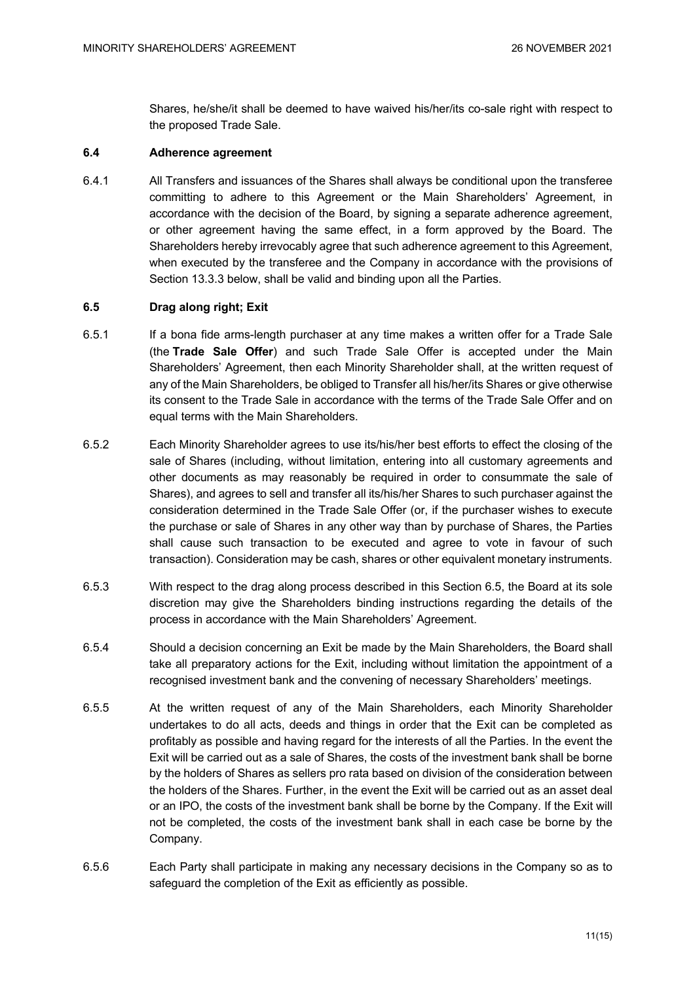Shares, he/she/it shall be deemed to have waived his/her/its co-sale right with respect to the proposed Trade Sale.

#### **6.4 Adherence agreement**

6.4.1 All Transfers and issuances of the Shares shall always be conditional upon the transferee committing to adhere to this Agreement or the Main Shareholders' Agreement, in accordance with the decision of the Board, by signing a separate adherence agreement, or other agreement having the same effect, in a form approved by the Board. The Shareholders hereby irrevocably agree that such adherence agreement to this Agreement, when executed by the transferee and the Company in accordance with the provisions of Section 13.3.3 below, shall be valid and binding upon all the Parties.

# **6.5 Drag along right; Exit**

- 6.5.1 If a bona fide arms-length purchaser at any time makes a written offer for a Trade Sale (the **Trade Sale Offer**) and such Trade Sale Offer is accepted under the Main Shareholders' Agreement, then each Minority Shareholder shall, at the written request of any of the Main Shareholders, be obliged to Transfer all his/her/its Shares or give otherwise its consent to the Trade Sale in accordance with the terms of the Trade Sale Offer and on equal terms with the Main Shareholders.
- 6.5.2 Each Minority Shareholder agrees to use its/his/her best efforts to effect the closing of the sale of Shares (including, without limitation, entering into all customary agreements and other documents as may reasonably be required in order to consummate the sale of Shares), and agrees to sell and transfer all its/his/her Shares to such purchaser against the consideration determined in the Trade Sale Offer (or, if the purchaser wishes to execute the purchase or sale of Shares in any other way than by purchase of Shares, the Parties shall cause such transaction to be executed and agree to vote in favour of such transaction). Consideration may be cash, shares or other equivalent monetary instruments.
- 6.5.3 With respect to the drag along process described in this Section 6.5, the Board at its sole discretion may give the Shareholders binding instructions regarding the details of the process in accordance with the Main Shareholders' Agreement.
- 6.5.4 Should a decision concerning an Exit be made by the Main Shareholders, the Board shall take all preparatory actions for the Exit, including without limitation the appointment of a recognised investment bank and the convening of necessary Shareholders' meetings.
- 6.5.5 At the written request of any of the Main Shareholders, each Minority Shareholder undertakes to do all acts, deeds and things in order that the Exit can be completed as profitably as possible and having regard for the interests of all the Parties. In the event the Exit will be carried out as a sale of Shares, the costs of the investment bank shall be borne by the holders of Shares as sellers pro rata based on division of the consideration between the holders of the Shares. Further, in the event the Exit will be carried out as an asset deal or an IPO, the costs of the investment bank shall be borne by the Company. If the Exit will not be completed, the costs of the investment bank shall in each case be borne by the Company.
- 6.5.6 Each Party shall participate in making any necessary decisions in the Company so as to safeguard the completion of the Exit as efficiently as possible.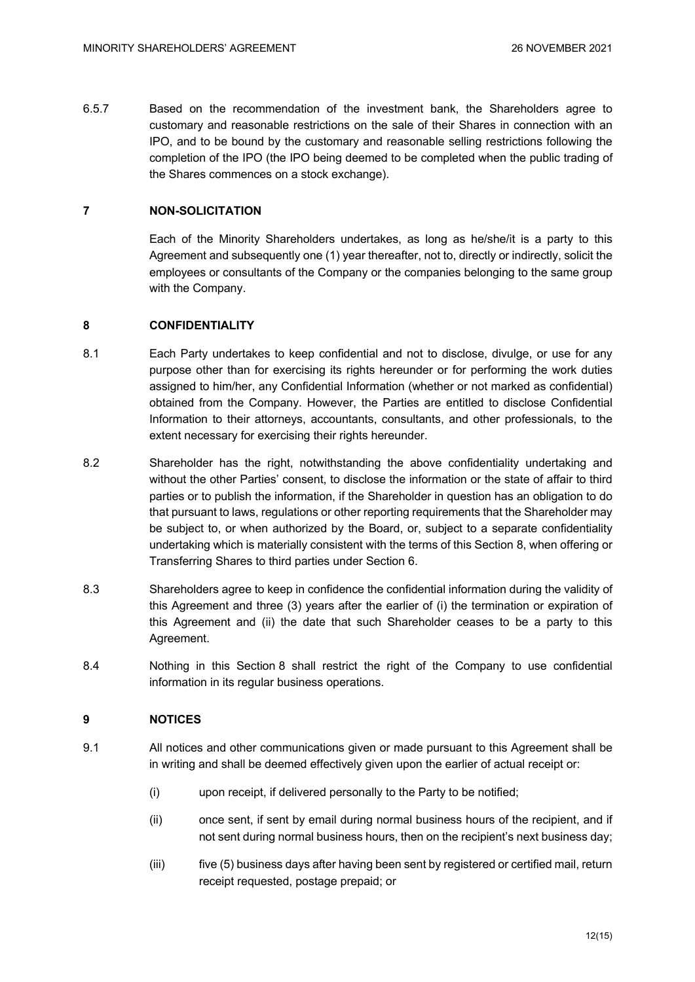6.5.7 Based on the recommendation of the investment bank, the Shareholders agree to customary and reasonable restrictions on the sale of their Shares in connection with an IPO, and to be bound by the customary and reasonable selling restrictions following the completion of the IPO (the IPO being deemed to be completed when the public trading of the Shares commences on a stock exchange).

# **7 NON-SOLICITATION**

Each of the Minority Shareholders undertakes, as long as he/she/it is a party to this Agreement and subsequently one (1) year thereafter, not to, directly or indirectly, solicit the employees or consultants of the Company or the companies belonging to the same group with the Company.

# **8 CONFIDENTIALITY**

- 8.1 Each Party undertakes to keep confidential and not to disclose, divulge, or use for any purpose other than for exercising its rights hereunder or for performing the work duties assigned to him/her, any Confidential Information (whether or not marked as confidential) obtained from the Company. However, the Parties are entitled to disclose Confidential Information to their attorneys, accountants, consultants, and other professionals, to the extent necessary for exercising their rights hereunder.
- 8.2 Shareholder has the right, notwithstanding the above confidentiality undertaking and without the other Parties' consent, to disclose the information or the state of affair to third parties or to publish the information, if the Shareholder in question has an obligation to do that pursuant to laws, regulations or other reporting requirements that the Shareholder may be subject to, or when authorized by the Board, or, subject to a separate confidentiality undertaking which is materially consistent with the terms of this Section 8, when offering or Transferring Shares to third parties under Section 6.
- 8.3 Shareholders agree to keep in confidence the confidential information during the validity of this Agreement and three (3) years after the earlier of (i) the termination or expiration of this Agreement and (ii) the date that such Shareholder ceases to be a party to this Agreement.
- 8.4 Nothing in this Section 8 shall restrict the right of the Company to use confidential information in its regular business operations.

#### **9 NOTICES**

- 9.1 All notices and other communications given or made pursuant to this Agreement shall be in writing and shall be deemed effectively given upon the earlier of actual receipt or:
	- (i) upon receipt, if delivered personally to the Party to be notified;
	- (ii) once sent, if sent by email during normal business hours of the recipient, and if not sent during normal business hours, then on the recipient's next business day;
	- (iii) five (5) business days after having been sent by registered or certified mail, return receipt requested, postage prepaid; or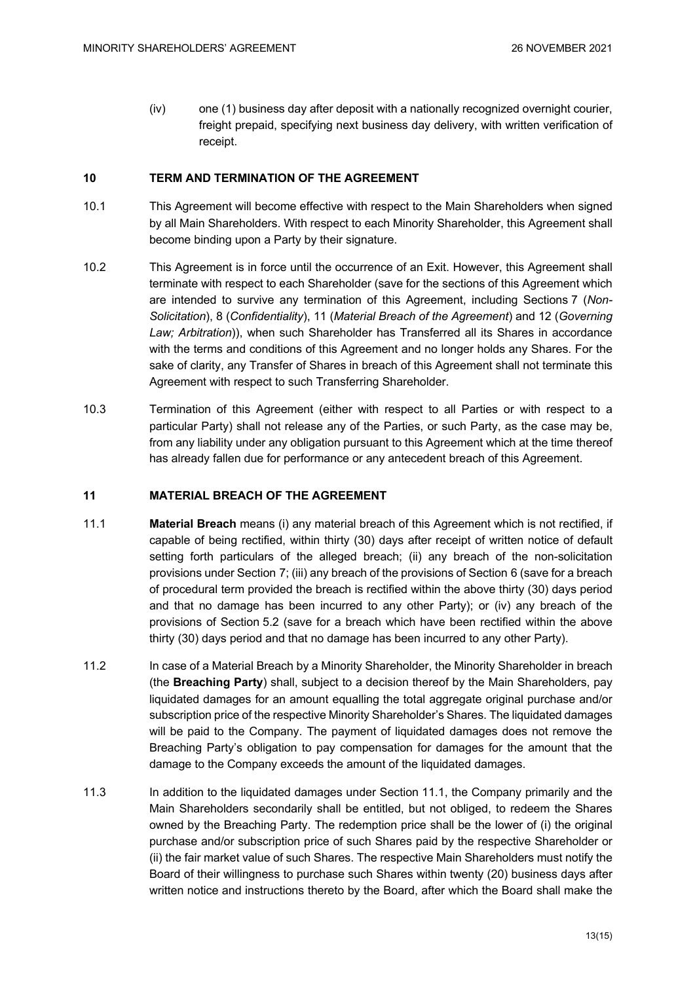(iv) one (1) business day after deposit with a nationally recognized overnight courier, freight prepaid, specifying next business day delivery, with written verification of receipt.

# **10 TERM AND TERMINATION OF THE AGREEMENT**

- 10.1 This Agreement will become effective with respect to the Main Shareholders when signed by all Main Shareholders. With respect to each Minority Shareholder, this Agreement shall become binding upon a Party by their signature.
- 10.2 This Agreement is in force until the occurrence of an Exit. However, this Agreement shall terminate with respect to each Shareholder (save for the sections of this Agreement which are intended to survive any termination of this Agreement, including Sections 7 (*Non-Solicitation*), 8 (*Confidentiality*), 11 (*Material Breach of the Agreement*) and 12 (*Governing Law; Arbitration*)), when such Shareholder has Transferred all its Shares in accordance with the terms and conditions of this Agreement and no longer holds any Shares. For the sake of clarity, any Transfer of Shares in breach of this Agreement shall not terminate this Agreement with respect to such Transferring Shareholder.
- 10.3 Termination of this Agreement (either with respect to all Parties or with respect to a particular Party) shall not release any of the Parties, or such Party, as the case may be, from any liability under any obligation pursuant to this Agreement which at the time thereof has already fallen due for performance or any antecedent breach of this Agreement.

#### **11 MATERIAL BREACH OF THE AGREEMENT**

- 11.1 **Material Breach** means (i) any material breach of this Agreement which is not rectified, if capable of being rectified, within thirty (30) days after receipt of written notice of default setting forth particulars of the alleged breach; (ii) any breach of the non-solicitation provisions under Section 7; (iii) any breach of the provisions of Section 6 (save for a breach of procedural term provided the breach is rectified within the above thirty (30) days period and that no damage has been incurred to any other Party); or (iv) any breach of the provisions of Section 5.2 (save for a breach which have been rectified within the above thirty (30) days period and that no damage has been incurred to any other Party).
- 11.2 In case of a Material Breach by a Minority Shareholder, the Minority Shareholder in breach (the **Breaching Party**) shall, subject to a decision thereof by the Main Shareholders, pay liquidated damages for an amount equalling the total aggregate original purchase and/or subscription price of the respective Minority Shareholder's Shares. The liquidated damages will be paid to the Company. The payment of liquidated damages does not remove the Breaching Party's obligation to pay compensation for damages for the amount that the damage to the Company exceeds the amount of the liquidated damages.
- 11.3 In addition to the liquidated damages under Section 11.1, the Company primarily and the Main Shareholders secondarily shall be entitled, but not obliged, to redeem the Shares owned by the Breaching Party. The redemption price shall be the lower of (i) the original purchase and/or subscription price of such Shares paid by the respective Shareholder or (ii) the fair market value of such Shares. The respective Main Shareholders must notify the Board of their willingness to purchase such Shares within twenty (20) business days after written notice and instructions thereto by the Board, after which the Board shall make the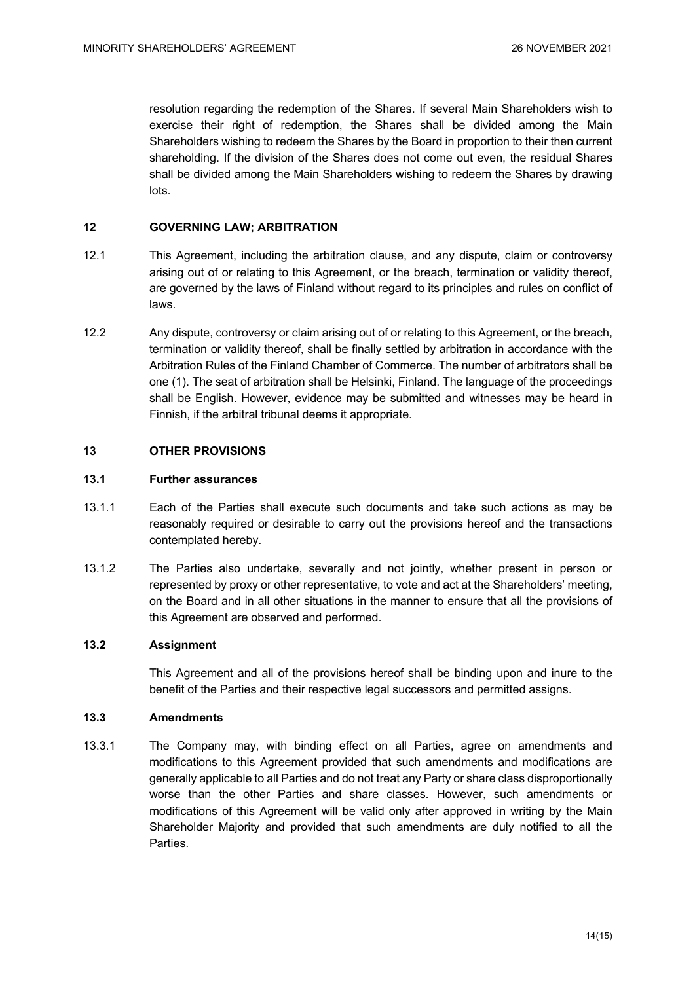resolution regarding the redemption of the Shares. If several Main Shareholders wish to exercise their right of redemption, the Shares shall be divided among the Main Shareholders wishing to redeem the Shares by the Board in proportion to their then current shareholding. If the division of the Shares does not come out even, the residual Shares shall be divided among the Main Shareholders wishing to redeem the Shares by drawing lots.

# **12 GOVERNING LAW; ARBITRATION**

- 12.1 This Agreement, including the arbitration clause, and any dispute, claim or controversy arising out of or relating to this Agreement, or the breach, termination or validity thereof, are governed by the laws of Finland without regard to its principles and rules on conflict of laws.
- 12.2 Any dispute, controversy or claim arising out of or relating to this Agreement, or the breach, termination or validity thereof, shall be finally settled by arbitration in accordance with the Arbitration Rules of the Finland Chamber of Commerce. The number of arbitrators shall be one (1). The seat of arbitration shall be Helsinki, Finland. The language of the proceedings shall be English. However, evidence may be submitted and witnesses may be heard in Finnish, if the arbitral tribunal deems it appropriate.

# **13 OTHER PROVISIONS**

# **13.1 Further assurances**

- 13.1.1 Each of the Parties shall execute such documents and take such actions as may be reasonably required or desirable to carry out the provisions hereof and the transactions contemplated hereby.
- 13.1.2 The Parties also undertake, severally and not jointly, whether present in person or represented by proxy or other representative, to vote and act at the Shareholders' meeting, on the Board and in all other situations in the manner to ensure that all the provisions of this Agreement are observed and performed.

#### **13.2 Assignment**

This Agreement and all of the provisions hereof shall be binding upon and inure to the benefit of the Parties and their respective legal successors and permitted assigns.

#### **13.3 Amendments**

13.3.1 The Company may, with binding effect on all Parties, agree on amendments and modifications to this Agreement provided that such amendments and modifications are generally applicable to all Parties and do not treat any Party or share class disproportionally worse than the other Parties and share classes. However, such amendments or modifications of this Agreement will be valid only after approved in writing by the Main Shareholder Majority and provided that such amendments are duly notified to all the Parties.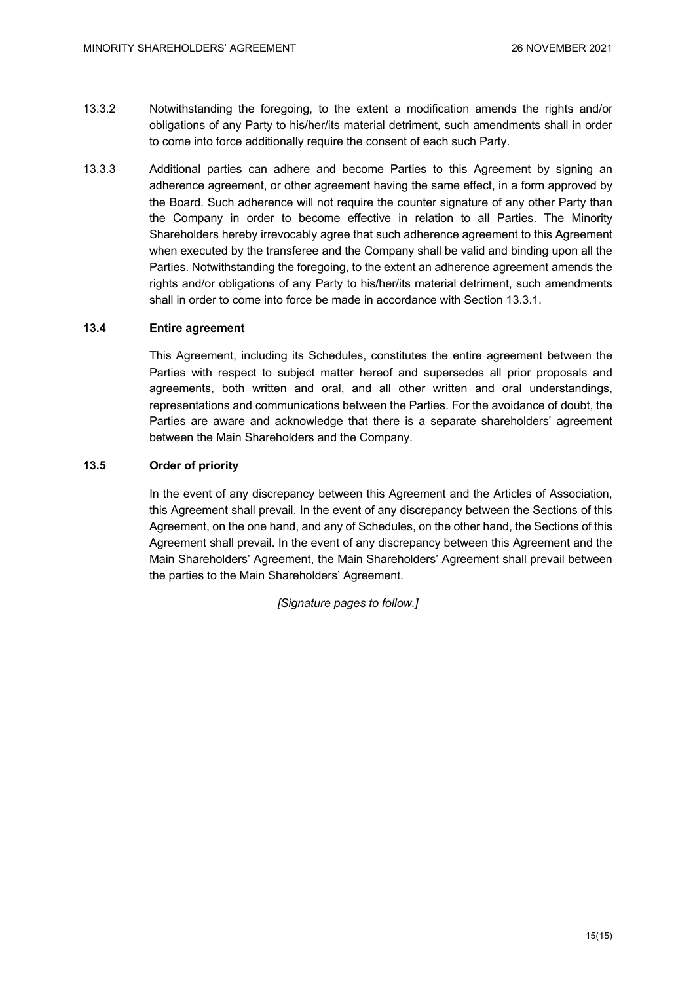- 13.3.2 Notwithstanding the foregoing, to the extent a modification amends the rights and/or obligations of any Party to his/her/its material detriment, such amendments shall in order to come into force additionally require the consent of each such Party.
- 13.3.3 Additional parties can adhere and become Parties to this Agreement by signing an adherence agreement, or other agreement having the same effect, in a form approved by the Board. Such adherence will not require the counter signature of any other Party than the Company in order to become effective in relation to all Parties. The Minority Shareholders hereby irrevocably agree that such adherence agreement to this Agreement when executed by the transferee and the Company shall be valid and binding upon all the Parties. Notwithstanding the foregoing, to the extent an adherence agreement amends the rights and/or obligations of any Party to his/her/its material detriment, such amendments shall in order to come into force be made in accordance with Section 13.3.1.

# **13.4 Entire agreement**

This Agreement, including its Schedules, constitutes the entire agreement between the Parties with respect to subject matter hereof and supersedes all prior proposals and agreements, both written and oral, and all other written and oral understandings, representations and communications between the Parties. For the avoidance of doubt, the Parties are aware and acknowledge that there is a separate shareholders' agreement between the Main Shareholders and the Company.

# **13.5 Order of priority**

In the event of any discrepancy between this Agreement and the Articles of Association, this Agreement shall prevail. In the event of any discrepancy between the Sections of this Agreement, on the one hand, and any of Schedules, on the other hand, the Sections of this Agreement shall prevail. In the event of any discrepancy between this Agreement and the Main Shareholders' Agreement, the Main Shareholders' Agreement shall prevail between the parties to the Main Shareholders' Agreement.

*[Signature pages to follow.]*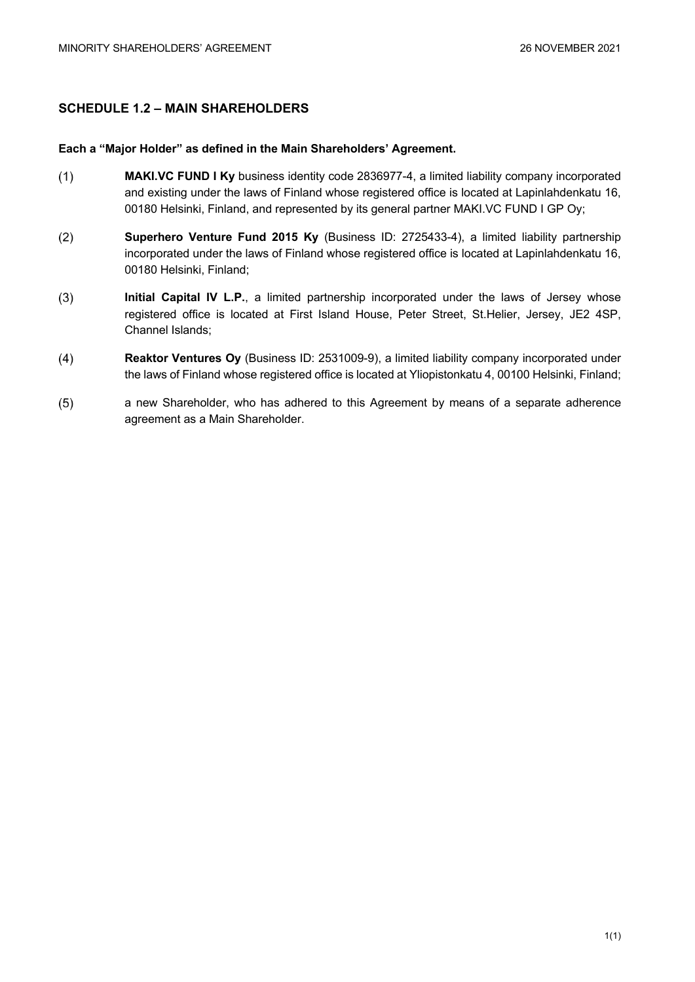# **SCHEDULE 1.2 – MAIN SHAREHOLDERS**

# **Each a "Major Holder" as defined in the Main Shareholders' Agreement.**

- $(1)$ **MAKI.VC FUND I Ky** business identity code 2836977-4, a limited liability company incorporated and existing under the laws of Finland whose registered office is located at Lapinlahdenkatu 16, 00180 Helsinki, Finland, and represented by its general partner MAKI.VC FUND I GP Oy;
- $(2)$ **Superhero Venture Fund 2015 Ky** (Business ID: 2725433-4), a limited liability partnership incorporated under the laws of Finland whose registered office is located at Lapinlahdenkatu 16, 00180 Helsinki, Finland;
- $(3)$ **Initial Capital IV L.P.**, a limited partnership incorporated under the laws of Jersey whose registered office is located at First Island House, Peter Street, St.Helier, Jersey, JE2 4SP, Channel Islands;
- $(4)$ **Reaktor Ventures Oy** (Business ID: 2531009-9), a limited liability company incorporated under the laws of Finland whose registered office is located at Yliopistonkatu 4, 00100 Helsinki, Finland;
- $(5)$ a new Shareholder, who has adhered to this Agreement by means of a separate adherence agreement as a Main Shareholder.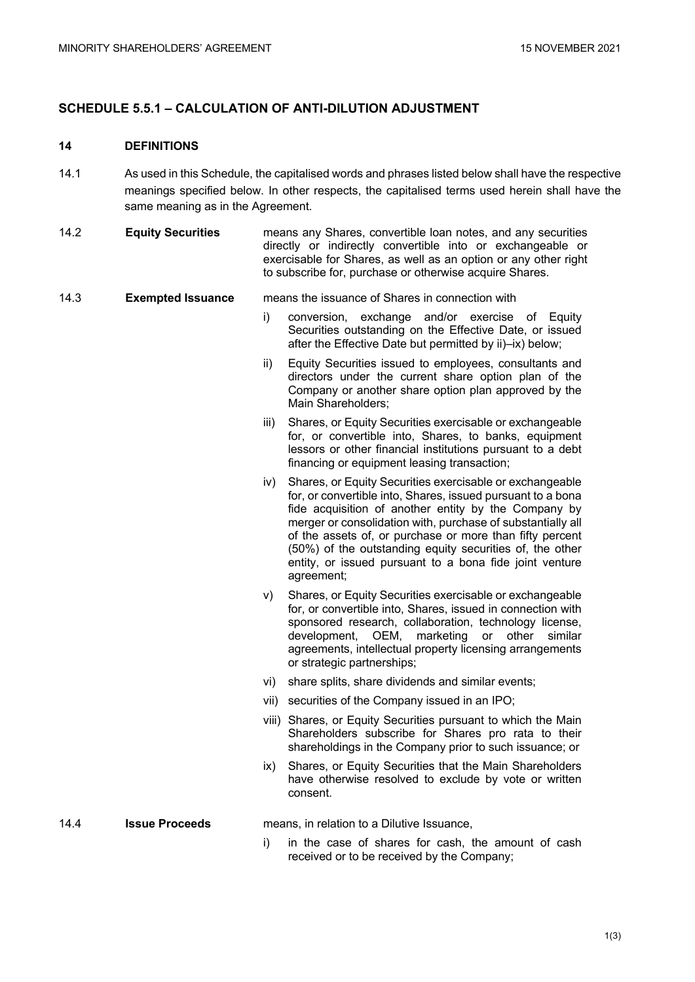# **SCHEDULE 5.5.1 – CALCULATION OF ANTI-DILUTION ADJUSTMENT**

#### **14 DEFINITIONS**

- 14.1 As used in this Schedule, the capitalised words and phrases listed below shall have the respective meanings specified below. In other respects, the capitalised terms used herein shall have the same meaning as in the Agreement.
- 14.2 **Equity Securities** means any Shares, convertible loan notes, and any securities directly or indirectly convertible into or exchangeable or exercisable for Shares, as well as an option or any other right to subscribe for, purchase or otherwise acquire Shares.

#### 14.3 **Exempted Issuance** means the issuance of Shares in connection with

- i) conversion, exchange and/or exercise of Equity Securities outstanding on the Effective Date, or issued after the Effective Date but permitted by ii)–ix) below;
- ii) Equity Securities issued to employees, consultants and directors under the current share option plan of the Company or another share option plan approved by the Main Shareholders;
- iii) Shares, or Equity Securities exercisable or exchangeable for, or convertible into, Shares, to banks, equipment lessors or other financial institutions pursuant to a debt financing or equipment leasing transaction;
- iv) Shares, or Equity Securities exercisable or exchangeable for, or convertible into, Shares, issued pursuant to a bona fide acquisition of another entity by the Company by merger or consolidation with, purchase of substantially all of the assets of, or purchase or more than fifty percent (50%) of the outstanding equity securities of, the other entity, or issued pursuant to a bona fide joint venture agreement;
- v) Shares, or Equity Securities exercisable or exchangeable for, or convertible into, Shares, issued in connection with sponsored research, collaboration, technology license, development, OEM, marketing or other similar agreements, intellectual property licensing arrangements or strategic partnerships;
- vi) share splits, share dividends and similar events;
- vii) securities of the Company issued in an IPO;
- viii) Shares, or Equity Securities pursuant to which the Main Shareholders subscribe for Shares pro rata to their shareholdings in the Company prior to such issuance; or
- ix) Shares, or Equity Securities that the Main Shareholders have otherwise resolved to exclude by vote or written consent.

#### 14.4 **Issue Proceeds** means, in relation to a Dilutive Issuance,

i) in the case of shares for cash, the amount of cash received or to be received by the Company;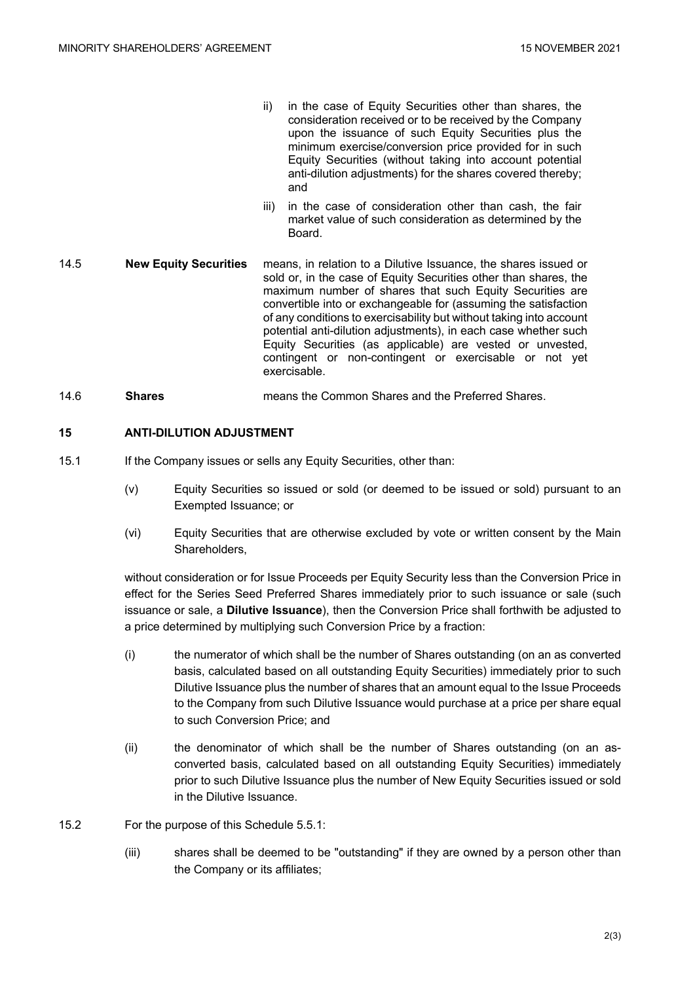- ii) in the case of Equity Securities other than shares, the consideration received or to be received by the Company upon the issuance of such Equity Securities plus the minimum exercise/conversion price provided for in such Equity Securities (without taking into account potential anti-dilution adjustments) for the shares covered thereby; and
- iii) in the case of consideration other than cash, the fair market value of such consideration as determined by the Board.
- 14.5 **New Equity Securities** means, in relation to a Dilutive Issuance, the shares issued or sold or, in the case of Equity Securities other than shares, the maximum number of shares that such Equity Securities are convertible into or exchangeable for (assuming the satisfaction of any conditions to exercisability but without taking into account potential anti-dilution adjustments), in each case whether such Equity Securities (as applicable) are vested or unvested, contingent or non-contingent or exercisable or not yet exercisable.
- 14.6 **Shares** means the Common Shares and the Preferred Shares.

# **15 ANTI-DILUTION ADJUSTMENT**

- 15.1 If the Company issues or sells any Equity Securities, other than:
	- (v) Equity Securities so issued or sold (or deemed to be issued or sold) pursuant to an Exempted Issuance; or
	- (vi) Equity Securities that are otherwise excluded by vote or written consent by the Main Shareholders,

without consideration or for Issue Proceeds per Equity Security less than the Conversion Price in effect for the Series Seed Preferred Shares immediately prior to such issuance or sale (such issuance or sale, a **Dilutive Issuance**), then the Conversion Price shall forthwith be adjusted to a price determined by multiplying such Conversion Price by a fraction:

- (i) the numerator of which shall be the number of Shares outstanding (on an as converted basis, calculated based on all outstanding Equity Securities) immediately prior to such Dilutive Issuance plus the number of shares that an amount equal to the Issue Proceeds to the Company from such Dilutive Issuance would purchase at a price per share equal to such Conversion Price; and
- (ii) the denominator of which shall be the number of Shares outstanding (on an asconverted basis, calculated based on all outstanding Equity Securities) immediately prior to such Dilutive Issuance plus the number of New Equity Securities issued or sold in the Dilutive Issuance.
- 15.2 For the purpose of this Schedule 5.5.1:
	- (iii) shares shall be deemed to be "outstanding" if they are owned by a person other than the Company or its affiliates;